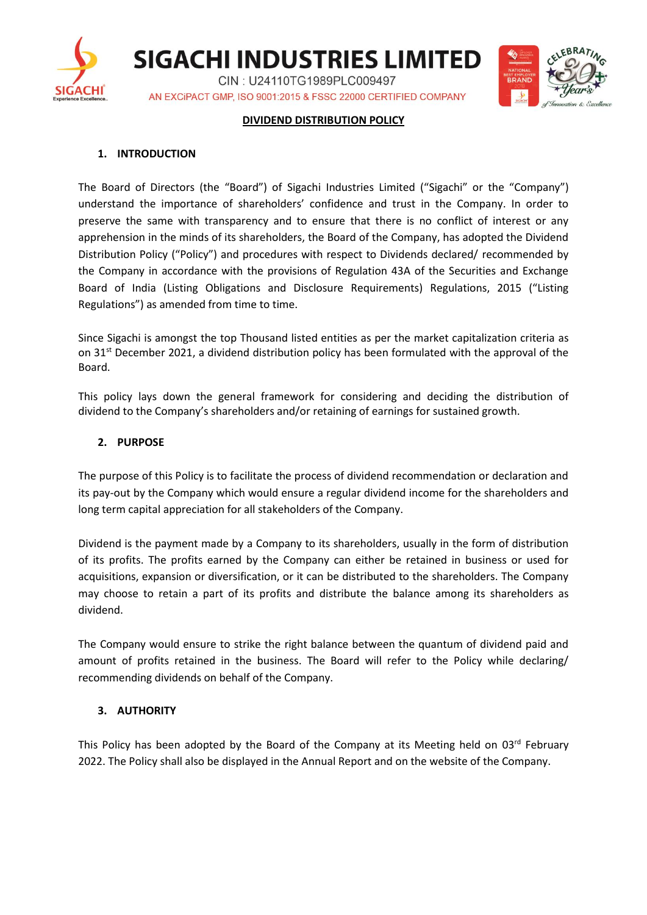

**SIGACHI INDUSTRIES LIMITED** CIN: U24110TG1989PLC009497

AN EXCIPACT GMP, ISO 9001:2015 & FSSC 22000 CERTIFIED COMPANY



#### **DIVIDEND DISTRIBUTION POLICY**

#### **1. INTRODUCTION**

The Board of Directors (the "Board") of Sigachi Industries Limited ("Sigachi" or the "Company") understand the importance of shareholders' confidence and trust in the Company. In order to preserve the same with transparency and to ensure that there is no conflict of interest or any apprehension in the minds of its shareholders, the Board of the Company, has adopted the Dividend Distribution Policy ("Policy") and procedures with respect to Dividends declared/ recommended by the Company in accordance with the provisions of Regulation 43A of the Securities and Exchange Board of India (Listing Obligations and Disclosure Requirements) Regulations, 2015 ("Listing Regulations") as amended from time to time.

Since Sigachi is amongst the top Thousand listed entities as per the market capitalization criteria as on 31<sup>st</sup> December 2021, a dividend distribution policy has been formulated with the approval of the Board.

This policy lays down the general framework for considering and deciding the distribution of dividend to the Company's shareholders and/or retaining of earnings for sustained growth.

#### **2. PURPOSE**

The purpose of this Policy is to facilitate the process of dividend recommendation or declaration and its pay-out by the Company which would ensure a regular dividend income for the shareholders and long term capital appreciation for all stakeholders of the Company.

Dividend is the payment made by a Company to its shareholders, usually in the form of distribution of its profits. The profits earned by the Company can either be retained in business or used for acquisitions, expansion or diversification, or it can be distributed to the shareholders. The Company may choose to retain a part of its profits and distribute the balance among its shareholders as dividend.

The Company would ensure to strike the right balance between the quantum of dividend paid and amount of profits retained in the business. The Board will refer to the Policy while declaring/ recommending dividends on behalf of the Company.

## **3. AUTHORITY**

This Policy has been adopted by the Board of the Company at its Meeting held on 03rd February 2022. The Policy shall also be displayed in the Annual Report and on the website of the Company.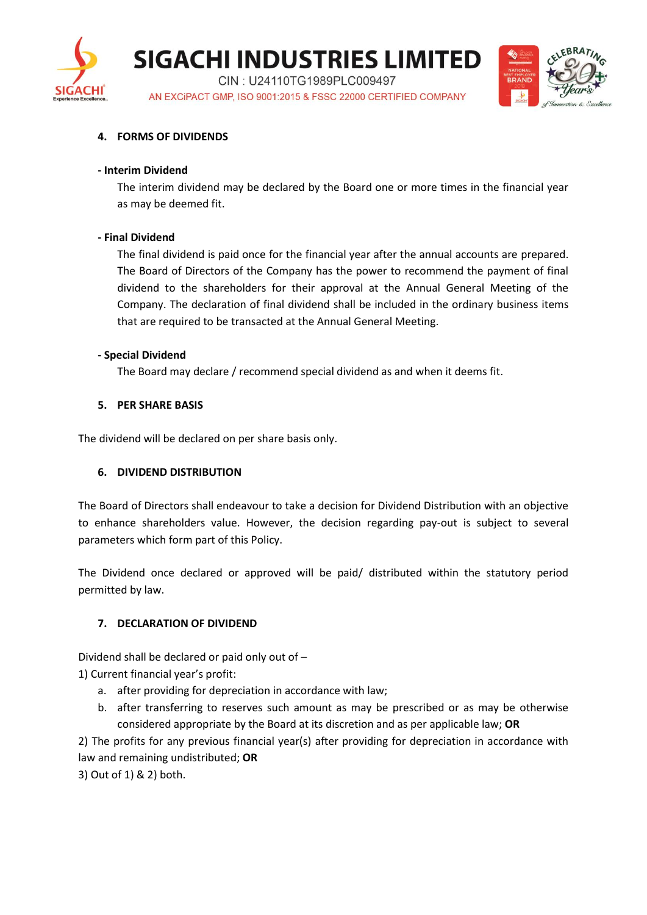

**SIGACHI INDUSTRIES LIMITED** 

CIN: U24110TG1989PLC009497 AN EXCIPACT GMP, ISO 9001:2015 & FSSC 22000 CERTIFIED COMPANY



## **4. FORMS OF DIVIDENDS**

#### **- Interim Dividend**

The interim dividend may be declared by the Board one or more times in the financial year as may be deemed fit.

## **- Final Dividend**

The final dividend is paid once for the financial year after the annual accounts are prepared. The Board of Directors of the Company has the power to recommend the payment of final dividend to the shareholders for their approval at the Annual General Meeting of the Company. The declaration of final dividend shall be included in the ordinary business items that are required to be transacted at the Annual General Meeting.

## **- Special Dividend**

The Board may declare / recommend special dividend as and when it deems fit.

## **5. PER SHARE BASIS**

The dividend will be declared on per share basis only.

## **6. DIVIDEND DISTRIBUTION**

The Board of Directors shall endeavour to take a decision for Dividend Distribution with an objective to enhance shareholders value. However, the decision regarding pay-out is subject to several parameters which form part of this Policy.

The Dividend once declared or approved will be paid/ distributed within the statutory period permitted by law.

# **7. DECLARATION OF DIVIDEND**

Dividend shall be declared or paid only out of –

1) Current financial year's profit:

- a. after providing for depreciation in accordance with law;
- b. after transferring to reserves such amount as may be prescribed or as may be otherwise considered appropriate by the Board at its discretion and as per applicable law; **OR**

2) The profits for any previous financial year(s) after providing for depreciation in accordance with law and remaining undistributed; **OR**

3) Out of 1) & 2) both.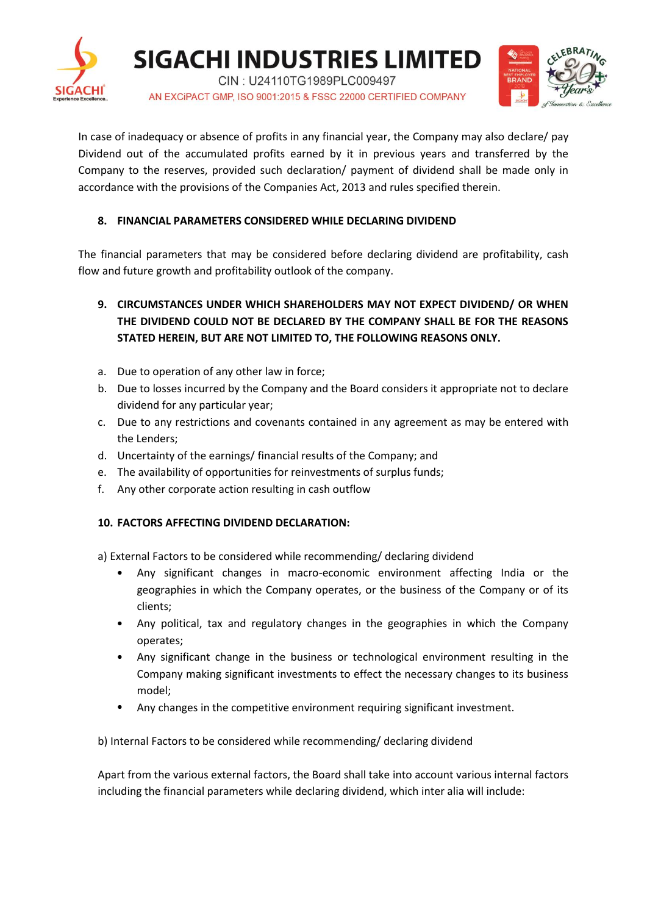



In case of inadequacy or absence of profits in any financial year, the Company may also declare/ pay Dividend out of the accumulated profits earned by it in previous years and transferred by the Company to the reserves, provided such declaration/ payment of dividend shall be made only in accordance with the provisions of the Companies Act, 2013 and rules specified therein.

# **8. FINANCIAL PARAMETERS CONSIDERED WHILE DECLARING DIVIDEND**

The financial parameters that may be considered before declaring dividend are profitability, cash flow and future growth and profitability outlook of the company.

- **9. CIRCUMSTANCES UNDER WHICH SHAREHOLDERS MAY NOT EXPECT DIVIDEND/ OR WHEN THE DIVIDEND COULD NOT BE DECLARED BY THE COMPANY SHALL BE FOR THE REASONS STATED HEREIN, BUT ARE NOT LIMITED TO, THE FOLLOWING REASONS ONLY.**
- a. Due to operation of any other law in force;
- b. Due to losses incurred by the Company and the Board considers it appropriate not to declare dividend for any particular year;
- c. Due to any restrictions and covenants contained in any agreement as may be entered with the Lenders;
- d. Uncertainty of the earnings/ financial results of the Company; and
- e. The availability of opportunities for reinvestments of surplus funds;
- f. Any other corporate action resulting in cash outflow

# **10. FACTORS AFFECTING DIVIDEND DECLARATION:**

a) External Factors to be considered while recommending/ declaring dividend

- Any significant changes in macro-economic environment affecting India or the geographies in which the Company operates, or the business of the Company or of its clients;
- Any political, tax and regulatory changes in the geographies in which the Company operates;
- Any significant change in the business or technological environment resulting in the Company making significant investments to effect the necessary changes to its business model;
- Any changes in the competitive environment requiring significant investment.

b) Internal Factors to be considered while recommending/ declaring dividend

Apart from the various external factors, the Board shall take into account various internal factors including the financial parameters while declaring dividend, which inter alia will include: